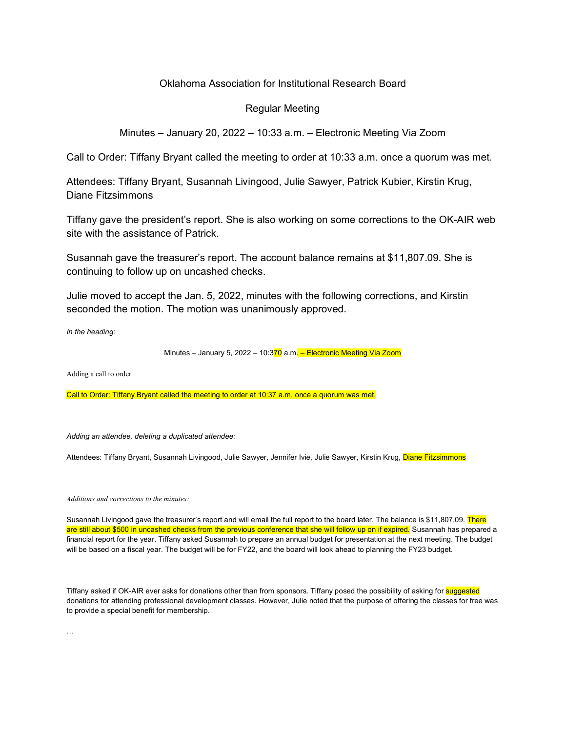## Oklahoma Association for Institutional Research Board

## Regular Meeting

## Minutes – January 20, 2022 – 10:33 a.m. – Electronic Meeting Via Zoom

Call to Order: Tiffany Bryant called the meeting to order at 10:33 a.m. once a quorum was met.

Attendees: Tiffany Bryant, Susannah Livingood, Julie Sawyer, Patrick Kubier, Kirstin Krug, Diane Fitzsimmons

Tiffany gave the president's report. She is also working on some corrections to the OK-AIR web site with the assistance of Patrick.

Susannah gave the treasurer's report. The account balance remains at \$11,807.09. She is continuing to follow up on uncashed checks.

Julie moved to accept the Jan. 5, 2022, minutes with the following corrections, and Kirstin seconded the motion. The motion was unanimously approved.

*In the heading:*

Minutes – January 5, 2022 – 10:370 a.m. – Electronic Meeting Via Zoom

Adding a call to order

Call to Order: Tiffany Bryant called the meeting to order at 10:37 a.m. once a quorum was met.

*Adding an attendee, deleting a duplicated attendee:*

Attendees: Tiffany Bryant, Susannah Livingood, Julie Sawyer, Jennifer Ivie, Julie Sawyer, Kirstin Krug, Diane Fitzsimmons

*Additions and corrections to the minutes:*

Susannah Livingood gave the treasurer's report and will email the full report to the board later. The balance is \$11,807.09. There are still about \$500 in uncashed checks from the previous conference that she will follow up on if expired. Susannah has prepared a financial report for the year. Tiffany asked Susannah to prepare an annual budget for presentation at the next meeting. The budget will be based on a fiscal year. The budget will be for FY22, and the board will look ahead to planning the FY23 budget.

Tiffany asked if OK-AIR ever asks for donations other than from sponsors. Tiffany posed the possibility of asking for **suggested** donations for attending professional development classes. However, Julie noted that the purpose of offering the classes for free was to provide a special benefit for membership.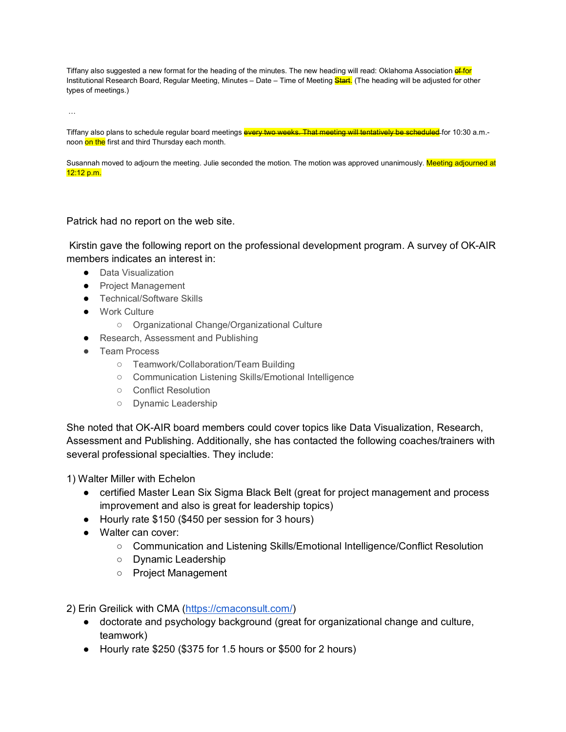Tiffany also suggested a new format for the heading of the minutes. The new heading will read: Oklahoma Association of for Institutional Research Board, Regular Meeting, Minutes – Date – Time of Meeting Start. (The heading will be adjusted for other types of meetings.)

…

Tiffany also plans to schedule regular board meetings **every two weeks. That meeting will tentatively be scheduled** for 10:30 a.m.noon on the first and third Thursday each month.

Susannah moved to adjourn the meeting. Julie seconded the motion. The motion was approved unanimously. Meeting adjourned at 12:12 p.m.

## Patrick had no report on the web site.

Kirstin gave the following report on the professional development program. A survey of OK-AIR members indicates an interest in:

- Data Visualization
- Project Management
- Technical/Software Skills
- Work Culture
	- Organizational Change/Organizational Culture
- Research, Assessment and Publishing
- Team Process
	- Teamwork/Collaboration/Team Building
	- Communication Listening Skills/Emotional Intelligence
	- Conflict Resolution
	- Dynamic Leadership

She noted that OK-AIR board members could cover topics like Data Visualization, Research, Assessment and Publishing. Additionally, she has contacted the following coaches/trainers with several professional specialties. They include:

1) Walter Miller with Echelon

- certified Master Lean Six Sigma Black Belt (great for project management and process improvement and also is great for leadership topics)
- Hourly rate \$150 (\$450 per session for 3 hours)
- Walter can cover:
	- Communication and Listening Skills/Emotional Intelligence/Conflict Resolution
	- Dynamic Leadership
	- Project Management

2) Erin Greilick with CMA [\(https://cmaconsult.com/\)](https://cmaconsult.com/)

- doctorate and psychology background (great for organizational change and culture, teamwork)
- Hourly rate \$250 (\$375 for 1.5 hours or \$500 for 2 hours)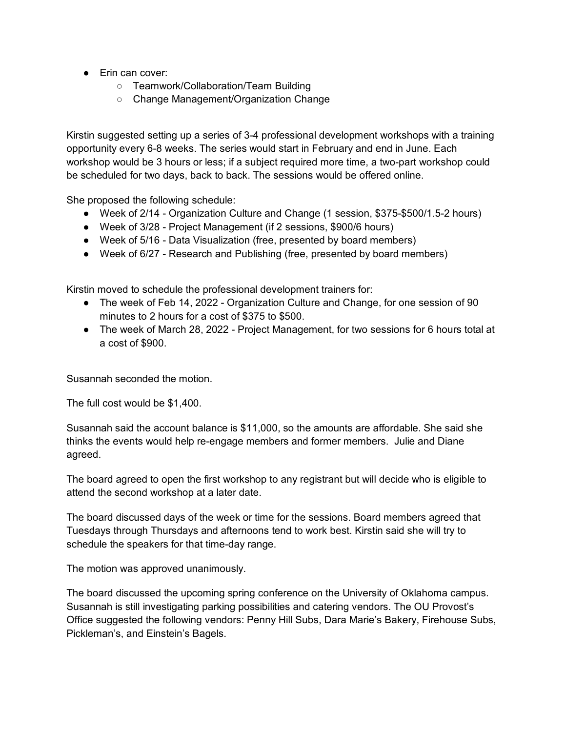- Erin can cover:
	- Teamwork/Collaboration/Team Building
	- Change Management/Organization Change

Kirstin suggested setting up a series of 3-4 professional development workshops with a training opportunity every 6-8 weeks. The series would start in February and end in June. Each workshop would be 3 hours or less; if a subject required more time, a two-part workshop could be scheduled for two days, back to back. The sessions would be offered online.

She proposed the following schedule:

- Week of 2/14 Organization Culture and Change (1 session, \$375-\$500/1.5-2 hours)
- Week of 3/28 Project Management (if 2 sessions, \$900/6 hours)
- Week of 5/16 Data Visualization (free, presented by board members)
- Week of 6/27 Research and Publishing (free, presented by board members)

Kirstin moved to schedule the professional development trainers for:

- The week of Feb 14, 2022 Organization Culture and Change, for one session of 90 minutes to 2 hours for a cost of \$375 to \$500.
- The week of March 28, 2022 Project Management, for two sessions for 6 hours total at a cost of \$900.

Susannah seconded the motion.

The full cost would be \$1,400.

Susannah said the account balance is \$11,000, so the amounts are affordable. She said she thinks the events would help re-engage members and former members. Julie and Diane agreed.

The board agreed to open the first workshop to any registrant but will decide who is eligible to attend the second workshop at a later date.

The board discussed days of the week or time for the sessions. Board members agreed that Tuesdays through Thursdays and afternoons tend to work best. Kirstin said she will try to schedule the speakers for that time-day range.

The motion was approved unanimously.

The board discussed the upcoming spring conference on the University of Oklahoma campus. Susannah is still investigating parking possibilities and catering vendors. The OU Provost's Office suggested the following vendors: Penny Hill Subs, Dara Marie's Bakery, Firehouse Subs, Pickleman's, and Einstein's Bagels.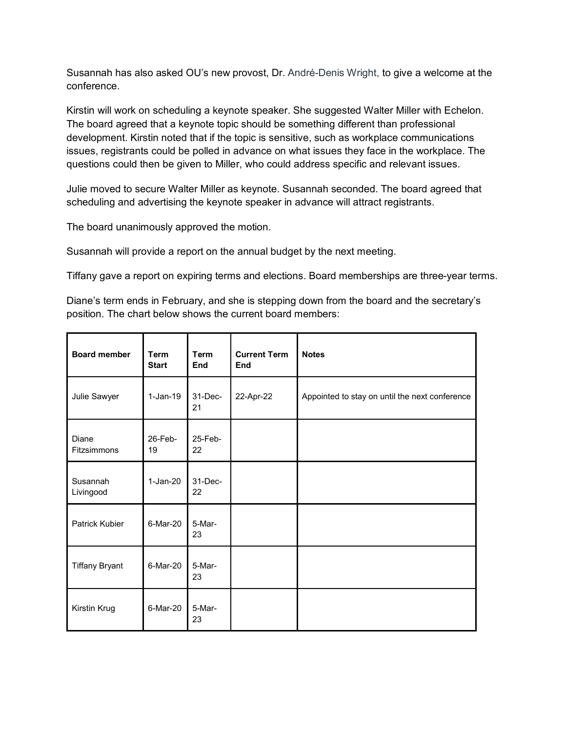Susannah has also asked OU's new provost, Dr. André-Denis Wright, to give a welcome at the conference.

Kirstin will work on scheduling a keynote speaker. She suggested Walter Miller with Echelon. The board agreed that a keynote topic should be something different than professional development. Kirstin noted that if the topic is sensitive, such as workplace communications issues, registrants could be polled in advance on what issues they face in the workplace. The questions could then be given to Miller, who could address specific and relevant issues.

Julie moved to secure Walter Miller as keynote. Susannah seconded. The board agreed that scheduling and advertising the keynote speaker in advance will attract registrants.

The board unanimously approved the motion.

Susannah will provide a report on the annual budget by the next meeting.

Tiffany gave a report on expiring terms and elections. Board memberships are three-year terms.

Diane's term ends in February, and she is stepping down from the board and the secretary's position. The chart below shows the current board members:

| <b>Board member</b>   | Term<br><b>Start</b> | <b>Term</b><br>End | <b>Current Term</b><br>End | <b>Notes</b>                                   |
|-----------------------|----------------------|--------------------|----------------------------|------------------------------------------------|
| Julie Sawyer          | $1-Jan-19$           | $31 - Dec-$<br>21  | 22-Apr-22                  | Appointed to stay on until the next conference |
| Diane<br>Fitzsimmons  | 26-Feb-<br>19        | 25-Feb-<br>22      |                            |                                                |
| Susannah<br>Livingood | $1-Jan-20$           | 31-Dec-<br>22      |                            |                                                |
| Patrick Kubier        | 6-Mar-20             | 5-Mar-<br>23       |                            |                                                |
| <b>Tiffany Bryant</b> | 6-Mar-20             | 5-Mar-<br>23       |                            |                                                |
| Kirstin Krug          | 6-Mar-20             | 5-Mar-<br>23       |                            |                                                |